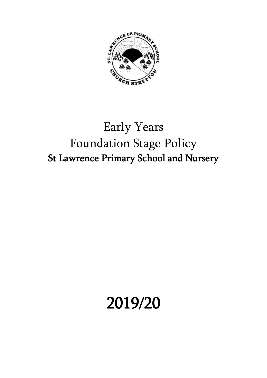

# Early Years Foundation Stage Policy St Lawrence Primary School and Nursery

# 2019/20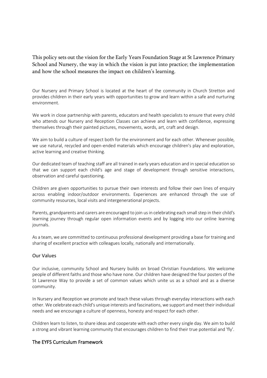# This policy sets out the vision for the Early Years Foundation Stage at St Lawrence Primary School and Nursery, the way in which the vision is put into practice; the implementation and how the school measures the impact on children's learning.

Our Nursery and Primary School is located at the heart of the community in Church Stretton and provides children in their early years with opportunities to grow and learn within a safe and nurturing environment.

We work in close partnership with parents, educators and health specialists to ensure that every child who attends our Nursery and Reception Classes can achieve and learn with confidence, expressing themselves through their painted pictures, movements, words, art, craft and design.

We aim to build a culture of respect both for the environment and for each other. Whenever possible, we use natural, recycled and open-ended materials which encourage children's play and exploration, active learning and creative thinking.

Our dedicated team of teaching staff are all trained in early years education and in special education so that we can support each child's age and stage of development through sensitive interactions, observation and careful questioning.

Children are given opportunities to pursue their own interests and follow their own lines of enquiry across enabling indoor/outdoor environments. Experiences are enhanced through the use of community resources, local visits and intergenerational projects.

Parents, grandparents and carers are encouraged to join us in celebrating each small step in their child's learning journey through regular open information events and by logging into our online learning journals.

As a team, we are committed to continuous professional development providing a base for training and sharing of excellent practice with colleagues locally, nationally and internationally.

# Our Values

Our inclusive, community School and Nursery builds on broad Christian Foundations. We welcome people of different faiths and those who have none. Our children have designed the four posters of the St Lawrence Way to provide a set of common values which unite us as a school and as a diverse community.

In Nursery and Reception we promote and teach these values through everyday interactions with each other. We celebrate each child's unique interests and fascinations, we support and meet their individual needs and we encourage a culture of openness, honesty and respect for each other.

Children learn to listen, to share ideas and cooperate with each other every single day. We aim to build a strong and vibrant learning community that encourages children to find their true potential and 'fly'.

# The EYFS Curriculum Framework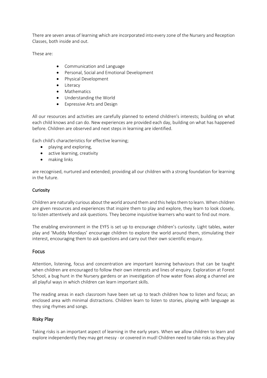There are seven areas of learning which are incorporated into every zone of the Nursery and Reception Classes, both inside and out.

These are:

- Communication and Language
- Personal, Social and Emotional Development
- Physical Development
- Literacy
- Mathematics
- Understanding the World
- Expressive Arts and Design

All our resources and activities are carefully planned to extend children's interests; building on what each child knows and can do. New experiences are provided each day, building on what has happened before. Children are observed and next steps in learning are identified.

Each child's characteristics for effective learning;

- playing and exploring,
- active learning, creativity
- making links

are recognised, nurtured and extended; providing all our children with a strong foundation for learning in the future.

#### **Curiosity**

Children are naturally curious about the world around them and this helps them to learn. When children are given resources and experiences that inspire them to play and explore, they learn to look closely, to listen attentively and ask questions. They become inquisitive learners who want to find out more.

The enabling environment in the EYFS is set up to encourage children's curiosity. Light tables, water play and 'Muddy Mondays' encourage children to explore the world around them, stimulating their interest, encouraging them to ask questions and carry out their own scientific enquiry.

#### Focus

Attention, listening, focus and concentration are important learning behaviours that can be taught when children are encouraged to follow their own interests and lines of enquiry. Exploration at Forest School, a bug hunt in the Nursery gardens or an investigation of how water flows along a channel are all playful ways in which children can learn important skills.

The reading areas in each classroom have been set up to teach children how to listen and focus; an enclosed area with minimal distractions. Children learn to listen to stories, playing with language as they sing rhymes and songs.

# Risky Play

Taking risks is an important aspect of learning in the early years. When we allow children to learn and explore independently they may get messy - or covered in mud! Children need to take risks as they play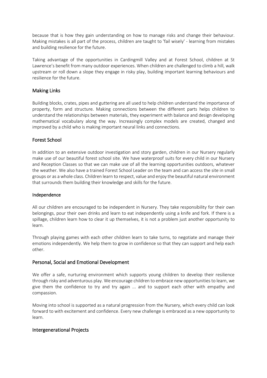because that is how they gain understanding on how to manage risks and change their behaviour. Making mistakes is all part of the process, children are taught to 'fail wisely' - learning from mistakes and building resilience for the future.

Taking advantage of the opportunities in Cardingmill Valley and at Forest School, children at St Lawrence's benefit from many outdoor experiences. When children are challenged to climb a hill, walk upstream or roll down a slope they engage in risky play, building important learning behaviours and resilience for the future.

# Making Links

Building blocks, crates, pipes and guttering are all used to help children understand the importance of property, form and structure. Making connections between the different parts helps children to understand the relationships between materials, they experiment with balance and design developing mathematical vocabulary along the way. Increasingly complex models are created, changed and improved by a child who is making important neural links and connections.

# Forest School

In addition to an extensive outdoor investigation and story garden, children in our Nursery regularly make use of our beautiful forest school site. We have waterproof suits for every child in our Nursery and Reception Classes so that we can make use of all the learning opportunities outdoors, whatever the weather. We also have a trained Forest School Leader on the team and can access the site in small groups or as a whole class. Children learn to respect, value and enjoy the beautiful natural environment that surrounds them building their knowledge and skills for the future.

#### Independence

All our children are encouraged to be independent in Nursery. They take responsibility for their own belongings, pour their own drinks and learn to eat independently using a knife and fork. If there is a spillage, children learn how to clear it up themselves, it is not a problem just another opportunity to learn.

Through playing games with each other children learn to take turns, to negotiate and manage their emotions independently. We help them to grow in confidence so that they can support and help each other.

# Personal, Social and Emotional Development

We offer a safe, nurturing environment which supports young children to develop their resilience through risky and adventurous play. We encourage children to embrace new opportunities to learn, we give them the confidence to try and try again ... and to support each other with empathy and compassion.

Moving into school is supported as a natural progression from the Nursery, which every child can look forward to with excitement and confidence. Every new challenge is embraced as a new opportunity to learn.

# Intergenerational Projects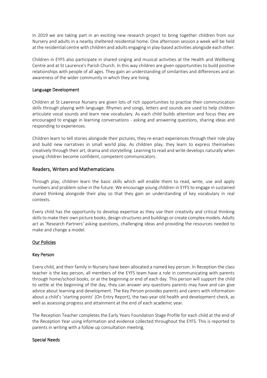In 2019 we are taking part in an exciting new research project to bring together children from our Nursery and adults in a nearby sheltered residential home. One afternoon session a week will be held at the residential centre with children and adults engaging in play-based activities alongside each other.

Children in EYFS also participate in shared singing and musical activities at the Health and Wellbeing Centre and at St Laurence's Parish Church. In this way children are given opportunities to build positive relationships with people of all ages. They gain an understanding of similarities and differences and an awareness of the wider community in which they are living.

#### Language Development

Children at St Lawrence Nursery are given lots of rich opportunities to practise their communication skills through playing with language. Rhymes and songs, letters and sounds are used to help children articulate vocal sounds and learn new vocabulary. As each child builds attention and focus they are encouraged to engage in learning conversations - asking and answering questions, sharing ideas and responding to experiences.

Children learn to tell stories alongside their pictures, they re-enact experiences through their role play and build new narratives in small world play. As children play, they learn to express themselves creatively through their art, drama and storytelling. Learning to read and write develops naturally when young children become confident, competent communicators.

# Readers, Writers and Mathematicians

Through play, children learn the basic skills which will enable them to read, write, use and apply numbers and problem solve in the future. We encourage young children in EYFS to engage in sustained shared thinking alongside their play so that they gain an understanding of key vocabulary in real contexts.

Every child has the opportunity to develop expertise as they use their creativity and critical thinking skills to make their own picture books, design structures and buildings or create complex models. Adults act as 'Research Partners' asking questions, challenging ideas and providing the resources needed to make and change a model.

#### Our Policies

#### Key Person

Every child, and their family in Nursery have been allocated a named key person. In Reception the class teacher is the key person, all members of the EYFS team have a role in communicating with parents through home/school books, or at the beginning or end of each day. This person will support the child to settle at the beginning of the day, they can answer any questions parents may have and can give advice about learning and development. The Key Person provides parents and carers with information about a child's 'starting points' (On Entry Report), the two-year old health and development check, as well as assessing progress and attainment at the end of each academic year.

The Reception Teacher completes the Early Years Foundation Stage Profile for each child at the end of the Reception Year using information and evidence collected throughout the EYFS. This is reported to parents in writing with a follow up consultation meeting.

#### Special Needs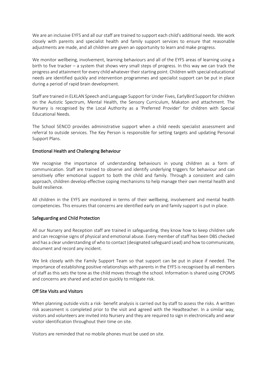We are an inclusive EYFS and all our staff are trained to support each child's additional needs. We work closely with parents and specialist health and family support services to ensure that reasonable adjustments are made, and all children are given an opportunity to learn and make progress.

We monitor wellbeing, involvement, learning behaviours and all of the EYFS areas of learning using a birth to five tracker – a system that shows very small steps of progress. In this way we can track the progress and attainment for every child whatever their starting point. Children with special educational needs are identified quickly and intervention programmes and specialist support can be put in place during a period of rapid brain development.

Staff are trained in ELKLAN Speech and Language Support for Under Fives, EarlyBird Support for children on the Autistic Spectrum, Mental Health, the Sensory Curriculum, Makaton and attachment. The Nursery is recognised by the Local Authority as a 'Preferred Provider' for children with Special Educational Needs.

The School SENCO provides administrative support when a child needs specialist assessment and referral to outside services. The Key Person is responsible for setting targets and updating Personal Support Plans.

#### Emotional Health and Challenging Behaviour

We recognise the importance of understanding behaviours in young children as a form of communication. Staff are trained to observe and identify underlying triggers for behaviour and can sensitively offer emotional support to both the child and family. Through a consistent and calm approach, children develop effective coping mechanisms to help manage their own mental health and build resilience.

All children in the EYFS are monitored in terms of their wellbeing, involvement and mental health competencies. This ensures that concerns are identified early on and family support is put in place.

# Safeguarding and Child Protection

All our Nursery and Reception staff are trained in safeguarding, they know how to keep children safe and can recognise signs of physical and emotional abuse. Every member of staff has been DBS checked and has a clear understanding of who to contact (designated safeguard Lead) and how to communicate, document and record any incident.

We link closely with the Family Support Team so that support can be put in place if needed. The importance of establishing positive relationships with parents in the EYFS is recognised by all members of staff as this sets the tone as the child moves through the school. Information is shared using CPOMS and concerns are shared and acted on quickly to mitigate risk.

#### Off Site Visits and Visitors

When planning outside visits a risk- benefit analysis is carried out by staff to assess the risks. A written risk assessment is completed prior to the visit and agreed with the Headteacher. In a similar way, visitors and volunteers are invited into Nursery and they are required to sign in electronically and wear visitor identification throughout their time on site.

Visitors are reminded that no mobile phones must be used on site.